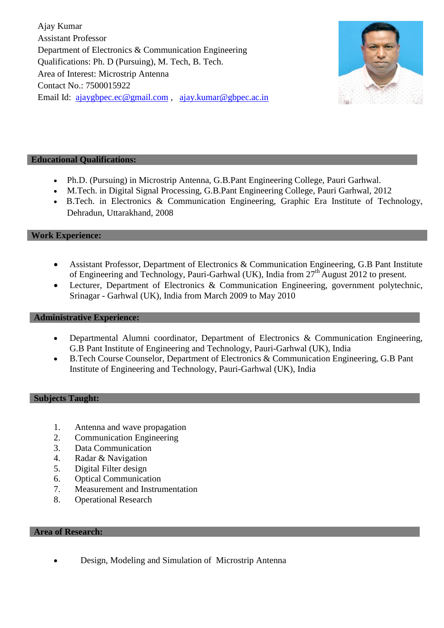Ajay Kumar Assistant Professor Department of Electronics & Communication Engineering Qualifications: Ph. D (Pursuing), M. Tech, B. Tech. Area of Interest: Microstrip Antenna Contact No.: 7500015922 Email Id: [ajaygbpec.ec@gmail.com](mailto:ajaygbpec.ec@gmail.com) , [ajay.kumar@gbpec.ac.in](mailto:ajay.kumar@gbpec.ac.in)



# **Educational Qualifications:**

- Ph.D. (Pursuing) in Microstrip Antenna, G.B.Pant Engineering College, Pauri Garhwal.
- M.Tech. in Digital Signal Processing, G.B.Pant Engineering College, Pauri Garhwal, 2012
- B.Tech. in Electronics & Communication Engineering, Graphic Era Institute of Technology, Dehradun, Uttarakhand, 2008

### **Work Experience:**

- Assistant Professor, Department of Electronics & Communication Engineering, G.B Pant Institute of Engineering and Technology, Pauri-Garhwal (UK), India from 27<sup>th</sup> August 2012 to present.
- Lecturer, Department of Electronics & Communication Engineering, government polytechnic, Srinagar - Garhwal (UK), India from March 2009 to May 2010

#### **Administrative Experience:**

- Departmental Alumni coordinator, Department of Electronics & Communication Engineering, G.B Pant Institute of Engineering and Technology, Pauri-Garhwal (UK), India
- B.Tech Course Counselor, Department of Electronics & Communication Engineering, G.B Pant Institute of Engineering and Technology, Pauri-Garhwal (UK), India

#### **Subjects Taught:**

- 1. Antenna and wave propagation
- 2. Communication Engineering
- 3. Data Communication
- 4. Radar & Navigation
- 5. Digital Filter design
- 6. Optical Communication
- 7. Measurement and Instrumentation
- 8. Operational Research

#### **Area of Research:**

Design, Modeling and Simulation of Microstrip Antenna